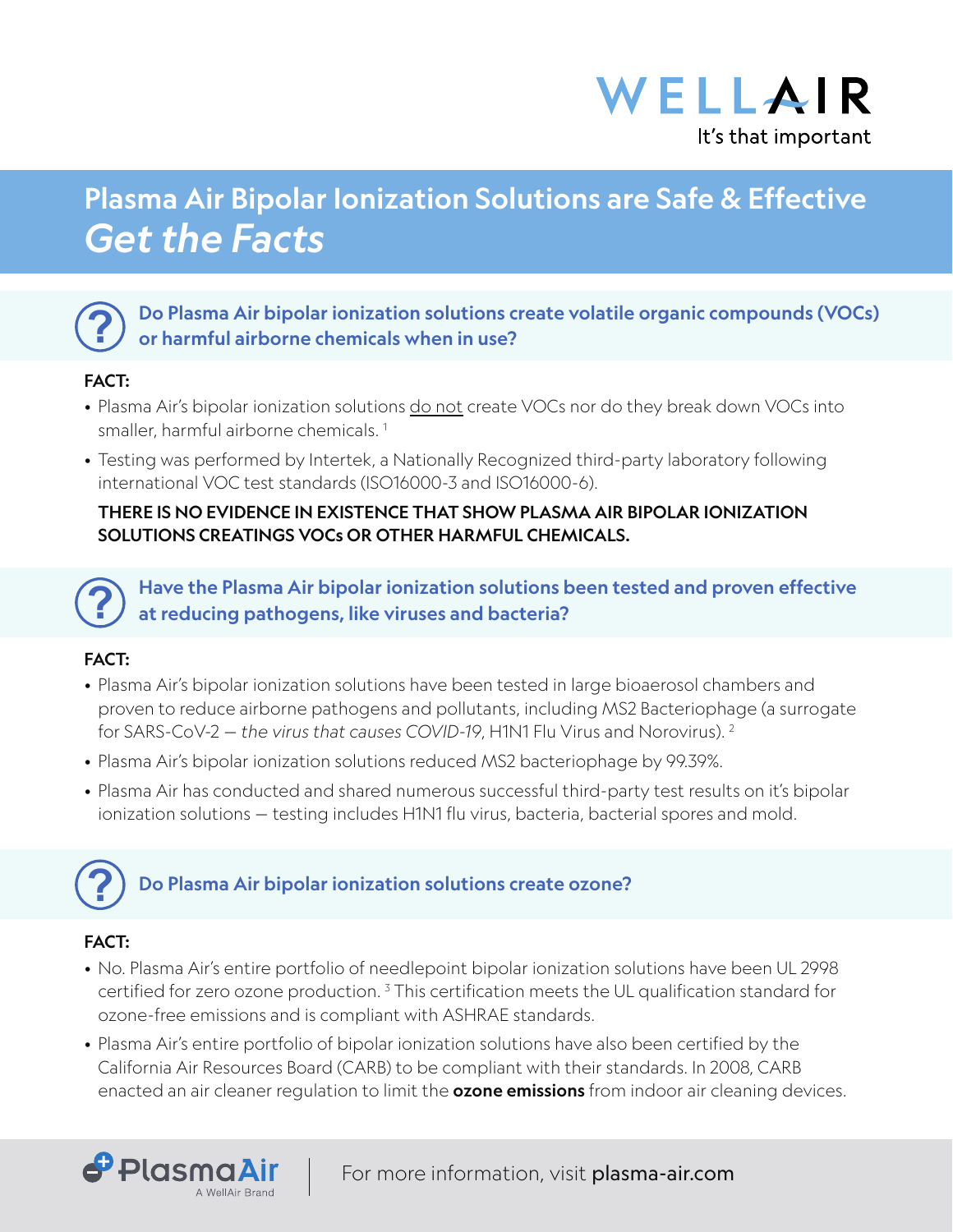

# Plasma Air Bipolar Ionization Solutions are Safe & Effective *Get the Facts*



Do Plasma Air bipolar ionization solutions create volatile organic compounds (VOCs) or harmful airborne chemicals when in use?

### FACT:

- Plasma Air's bipolar ionization solutions do not create VOCs nor do they break down VOCs into smaller, harmful airborne chemicals.<sup>1</sup>
- Testing was performed by Intertek, a Nationally Recognized third-party laboratory following international VOC test standards (ISO16000-3 and ISO16000-6).

### THERE IS NO EVIDENCE IN EXISTENCE THAT SHOW PLASMA AIR BIPOLAR IONIZATION SOLUTIONS CREATINGS VOCs OR OTHER HARMFUL CHEMICALS.

**?** Have the Plasma Air bipolar ionization solutions been tested and proven effective at reducing pathogens, like viruses and bacteria?

### FACT:

- Plasma Air's bipolar ionization solutions have been tested in large bioaerosol chambers and proven to reduce airborne pathogens and pollutants, including MS2 Bacteriophage (a surrogate for SARS-CoV-2 *— the virus that causes COVID-19*, H1N1 Flu Virus and Norovirus). 2
- Plasma Air's bipolar ionization solutions reduced MS2 bacteriophage by 99.39%.
- Plasma Air has conducted and shared numerous successful third-party test results on it's bipolar ionization solutions — testing includes H1N1 flu virus, bacteria, bacterial spores and mold.



## Do Plasma Air bipolar ionization solutions create ozone?

### FACT:

PlasmaAir

A WellAir Branc

- No. Plasma Air's entire portfolio of needlepoint bipolar ionization solutions have been UL 2998 certified for zero ozone production.  $^{\text{3}}$  This certification meets the UL qualification standard for ozone-free emissions and is compliant with ASHRAE standards.
- Plasma Air's entire portfolio of bipolar ionization solutions have also been certified by the California Air Resources Board (CARB) to be compliant with their standards. In 2008, CARB enacted an air cleaner regulation to limit the **ozone emissions** from indoor air cleaning devices.